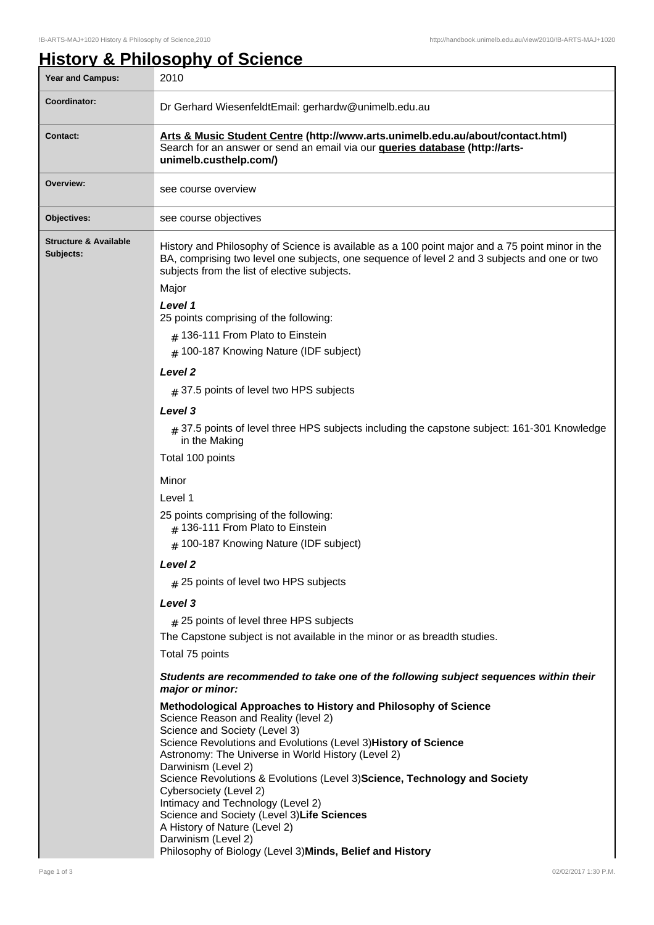## **History & Philosophy of Science**

| <b>Year and Campus:</b>                       | 2010                                                                                                                                                                                                                                                                                                                                                                                                                                                                                                                                                                                                                                                                                                                                                                                                                                                                                                                                                                                                                                                                                                                                                                                                                                                                                                                                                                                                                                                                                                                                                                                       |
|-----------------------------------------------|--------------------------------------------------------------------------------------------------------------------------------------------------------------------------------------------------------------------------------------------------------------------------------------------------------------------------------------------------------------------------------------------------------------------------------------------------------------------------------------------------------------------------------------------------------------------------------------------------------------------------------------------------------------------------------------------------------------------------------------------------------------------------------------------------------------------------------------------------------------------------------------------------------------------------------------------------------------------------------------------------------------------------------------------------------------------------------------------------------------------------------------------------------------------------------------------------------------------------------------------------------------------------------------------------------------------------------------------------------------------------------------------------------------------------------------------------------------------------------------------------------------------------------------------------------------------------------------------|
| Coordinator:                                  | Dr Gerhard WiesenfeldtEmail: gerhardw@unimelb.edu.au                                                                                                                                                                                                                                                                                                                                                                                                                                                                                                                                                                                                                                                                                                                                                                                                                                                                                                                                                                                                                                                                                                                                                                                                                                                                                                                                                                                                                                                                                                                                       |
| <b>Contact:</b>                               | Arts & Music Student Centre (http://www.arts.unimelb.edu.au/about/contact.html)<br>Search for an answer or send an email via our <b>queries database (http://arts-</b><br>unimelb.custhelp.com/)                                                                                                                                                                                                                                                                                                                                                                                                                                                                                                                                                                                                                                                                                                                                                                                                                                                                                                                                                                                                                                                                                                                                                                                                                                                                                                                                                                                           |
| Overview:                                     | see course overview                                                                                                                                                                                                                                                                                                                                                                                                                                                                                                                                                                                                                                                                                                                                                                                                                                                                                                                                                                                                                                                                                                                                                                                                                                                                                                                                                                                                                                                                                                                                                                        |
| Objectives:                                   | see course objectives                                                                                                                                                                                                                                                                                                                                                                                                                                                                                                                                                                                                                                                                                                                                                                                                                                                                                                                                                                                                                                                                                                                                                                                                                                                                                                                                                                                                                                                                                                                                                                      |
| <b>Structure &amp; Available</b><br>Subjects: | History and Philosophy of Science is available as a 100 point major and a 75 point minor in the<br>BA, comprising two level one subjects, one sequence of level 2 and 3 subjects and one or two<br>subjects from the list of elective subjects.<br>Major<br>Level 1<br>25 points comprising of the following:<br>$#$ 136-111 From Plato to Einstein<br># 100-187 Knowing Nature (IDF subject)<br>Level <sub>2</sub><br>$#$ 37.5 points of level two HPS subjects<br>Level 3<br>$_{\#}$ 37.5 points of level three HPS subjects including the capstone subject: 161-301 Knowledge<br>in the Making<br>Total 100 points<br>Minor<br>Level 1<br>25 points comprising of the following:<br>$#$ 136-111 From Plato to Einstein<br># 100-187 Knowing Nature (IDF subject)<br><b>Level 2</b><br>$#$ 25 points of level two HPS subjects<br>Level 3<br>$#$ 25 points of level three HPS subjects<br>The Capstone subject is not available in the minor or as breadth studies.<br>Total 75 points<br>Students are recommended to take one of the following subject sequences within their<br>major or minor:<br>Methodological Approaches to History and Philosophy of Science<br>Science Reason and Reality (level 2)<br>Science and Society (Level 3)<br>Science Revolutions and Evolutions (Level 3) History of Science<br>Astronomy: The Universe in World History (Level 2)<br>Darwinism (Level 2)<br>Science Revolutions & Evolutions (Level 3) Science, Technology and Society<br>Cybersociety (Level 2)<br>Intimacy and Technology (Level 2)<br>Science and Society (Level 3) Life Sciences |
|                                               | A History of Nature (Level 2)<br>Darwinism (Level 2)<br>Philosophy of Biology (Level 3) Minds, Belief and History                                                                                                                                                                                                                                                                                                                                                                                                                                                                                                                                                                                                                                                                                                                                                                                                                                                                                                                                                                                                                                                                                                                                                                                                                                                                                                                                                                                                                                                                          |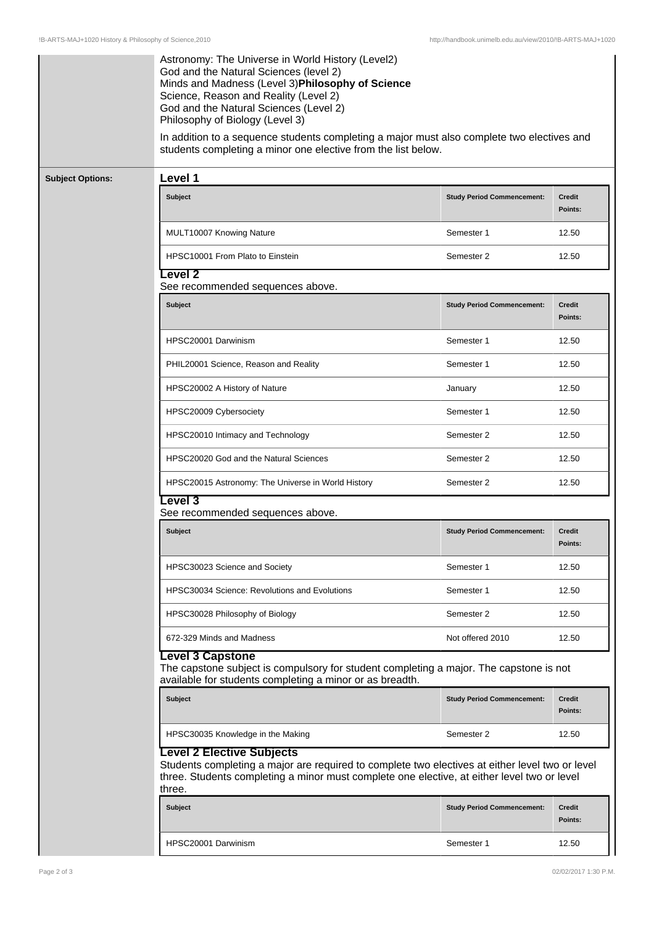|                         | Astronomy: The Universe in World History (Level2)<br>God and the Natural Sciences (level 2)<br>Minds and Madness (Level 3) Philosophy of Science<br>Science, Reason and Reality (Level 2)<br>God and the Natural Sciences (Level 2)<br>Philosophy of Biology (Level 3)<br>In addition to a sequence students completing a major must also complete two electives and<br>students completing a minor one elective from the list below. |                                   |                          |  |  |
|-------------------------|---------------------------------------------------------------------------------------------------------------------------------------------------------------------------------------------------------------------------------------------------------------------------------------------------------------------------------------------------------------------------------------------------------------------------------------|-----------------------------------|--------------------------|--|--|
| <b>Subject Options:</b> | Level 1                                                                                                                                                                                                                                                                                                                                                                                                                               |                                   |                          |  |  |
|                         | Subject                                                                                                                                                                                                                                                                                                                                                                                                                               | <b>Study Period Commencement:</b> | <b>Credit</b><br>Points: |  |  |
|                         | MULT10007 Knowing Nature                                                                                                                                                                                                                                                                                                                                                                                                              | Semester 1                        | 12.50                    |  |  |
|                         | HPSC10001 From Plato to Einstein                                                                                                                                                                                                                                                                                                                                                                                                      | Semester 2                        | 12.50                    |  |  |
|                         | <b>Level 2</b><br>See recommended sequences above.                                                                                                                                                                                                                                                                                                                                                                                    |                                   |                          |  |  |
|                         | <b>Subject</b>                                                                                                                                                                                                                                                                                                                                                                                                                        | <b>Study Period Commencement:</b> | <b>Credit</b><br>Points: |  |  |
|                         | HPSC20001 Darwinism                                                                                                                                                                                                                                                                                                                                                                                                                   | Semester 1                        | 12.50                    |  |  |
|                         | PHIL20001 Science, Reason and Reality                                                                                                                                                                                                                                                                                                                                                                                                 | Semester 1                        | 12.50                    |  |  |
|                         | HPSC20002 A History of Nature                                                                                                                                                                                                                                                                                                                                                                                                         | January                           | 12.50                    |  |  |
|                         | HPSC20009 Cybersociety                                                                                                                                                                                                                                                                                                                                                                                                                | Semester 1                        | 12.50                    |  |  |
|                         | HPSC20010 Intimacy and Technology                                                                                                                                                                                                                                                                                                                                                                                                     | Semester 2                        | 12.50                    |  |  |
|                         | HPSC20020 God and the Natural Sciences                                                                                                                                                                                                                                                                                                                                                                                                | Semester 2                        | 12.50                    |  |  |
|                         | HPSC20015 Astronomy: The Universe in World History                                                                                                                                                                                                                                                                                                                                                                                    | Semester 2                        | 12.50                    |  |  |
|                         | Level 3<br>See recommended sequences above.                                                                                                                                                                                                                                                                                                                                                                                           |                                   |                          |  |  |
|                         | <b>Subject</b>                                                                                                                                                                                                                                                                                                                                                                                                                        | <b>Study Period Commencement:</b> | <b>Credit</b><br>Points: |  |  |
|                         | HPSC30023 Science and Society                                                                                                                                                                                                                                                                                                                                                                                                         | Semester 1                        | 12.50                    |  |  |
|                         | <b>HPSC30034 Science: Revolutions and Evolutions</b>                                                                                                                                                                                                                                                                                                                                                                                  | Semester 1                        | 12.50                    |  |  |
|                         | HPSC30028 Philosophy of Biology                                                                                                                                                                                                                                                                                                                                                                                                       | Semester 2                        | 12.50                    |  |  |
|                         | 672-329 Minds and Madness                                                                                                                                                                                                                                                                                                                                                                                                             | Not offered 2010                  | 12.50                    |  |  |
|                         | <b>Level 3 Capstone</b><br>The capstone subject is compulsory for student completing a major. The capstone is not<br>available for students completing a minor or as breadth.                                                                                                                                                                                                                                                         |                                   |                          |  |  |
|                         | Subject                                                                                                                                                                                                                                                                                                                                                                                                                               | <b>Study Period Commencement:</b> | <b>Credit</b><br>Points: |  |  |
|                         | HPSC30035 Knowledge in the Making                                                                                                                                                                                                                                                                                                                                                                                                     | Semester 2                        | 12.50                    |  |  |
|                         | <b>Level 2 Elective Subjects</b><br>Students completing a major are required to complete two electives at either level two or level<br>three. Students completing a minor must complete one elective, at either level two or level<br>three.                                                                                                                                                                                          |                                   |                          |  |  |
|                         | Subject                                                                                                                                                                                                                                                                                                                                                                                                                               | <b>Study Period Commencement:</b> | <b>Credit</b><br>Points: |  |  |
|                         | HPSC20001 Darwinism                                                                                                                                                                                                                                                                                                                                                                                                                   | Semester 1                        | 12.50                    |  |  |